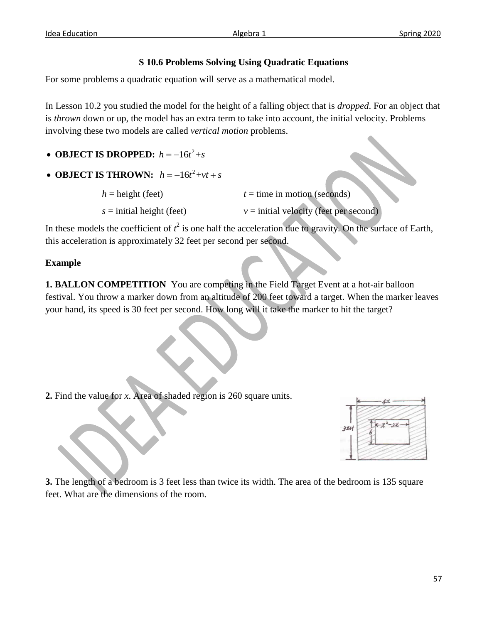## **S 10.6 Problems Solving Using Quadratic Equations**

For some problems a quadratic equation will serve as a mathematical model.

In Lesson 10.2 you studied the model for the height of a falling object that is *dropped*. For an object that is *thrown* down or up, the model has an extra term to take into account, the initial velocity. Problems involving these two models are called *vertical motion* problems.

- **OBJECT IS DROPPED:**  $h = -16t^2 + s$
- **OBJECT IS THROWN:**  $h = -16t^2 + vt + s$

| $h =$ height (feet)         | $t =$ time in motion (seconds)           |
|-----------------------------|------------------------------------------|
| $s =$ initial height (feet) | $v =$ initial velocity (feet per second) |

In these models the coefficient of  $t^2$  is one half the acceleration due to gravity. On the surface of Earth, this acceleration is approximately 32 feet per second per second.

## **Example**

**1. BALLON COMPETITION** You are competing in the Field Target Event at a hot-air balloon festival. You throw a marker down from an altitude of 200 feet toward a target. When the marker leaves your hand, its speed is 30 feet per second. How long will it take the marker to hit the target?

**2.** Find the value for *x*. Area of shaded region is 260 square units.



**3.** The length of a bedroom is 3 feet less than twice its width. The area of the bedroom is 135 square feet. What are the dimensions of the room.